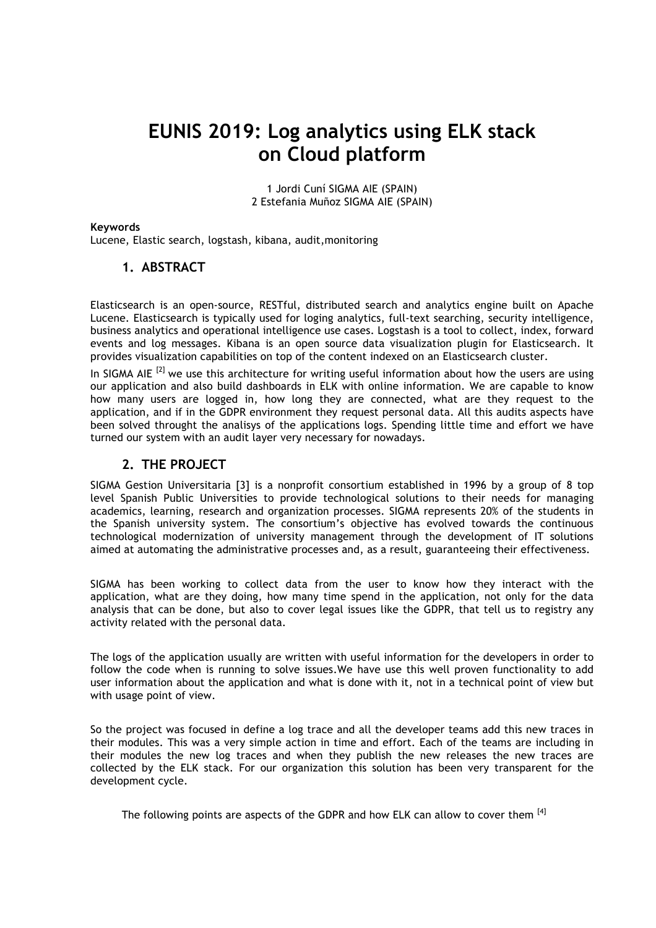# **EUNIS 2019: Log analytics using ELK stack on Cloud platform**

1 Jordi Cuní SIGMA AIE (SPAIN) 2 Estefania Muñoz SIGMA AIE (SPAIN)

#### **Keywords**

Lucene, Elastic search, logstash, kibana, audit,monitoring

### **1. ABSTRACT**

Elasticsearch is an open-source, RESTful, distributed search and analytics engine built on Apache Lucene. Elasticsearch is typically used for loging analytics, full-text searching, security intelligence, business analytics and operational intelligence use cases. Logstash is a tool to collect, index, forward events and log messages. Kibana is an open source data visualization plugin for Elasticsearch. It provides visualization capabilities on top of the content indexed on an Elasticsearch cluster.

In SIGMA AIE<sup>[2]</sup> we use this architecture for writing useful information about how the users are using our application and also build dashboards in ELK with online information. We are capable to know how many users are logged in, how long they are connected, what are they request to the application, and if in the GDPR environment they request personal data. All this audits aspects have been solved throught the analisys of the applications logs. Spending little time and effort we have turned our system with an audit layer very necessary for nowadays.

#### **2. THE PROJECT**

SIGMA Gestion Universitaria [3] is a nonprofit consortium established in 1996 by a group of 8 top level Spanish Public Universities to provide technological solutions to their needs for managing academics, learning, research and organization processes. SIGMA represents 20% of the students in the Spanish university system. The consortium's objective has evolved towards the continuous technological modernization of university management through the development of IT solutions aimed at automating the administrative processes and, as a result, guaranteeing their effectiveness.

SIGMA has been working to collect data from the user to know how they interact with the application, what are they doing, how many time spend in the application, not only for the data analysis that can be done, but also to cover legal issues like the GDPR, that tell us to registry any activity related with the personal data.

The logs of the application usually are written with useful information for the developers in order to follow the code when is running to solve issues.We have use this well proven functionality to add user information about the application and what is done with it, not in a technical point of view but with usage point of view.

So the project was focused in define a log trace and all the developer teams add this new traces in their modules. This was a very simple action in time and effort. Each of the teams are including in their modules the new log traces and when they publish the new releases the new traces are collected by the ELK stack. For our organization this solution has been very transparent for the development cycle.

The following points are aspects of the GDPR and how ELK can allow to cover them [4]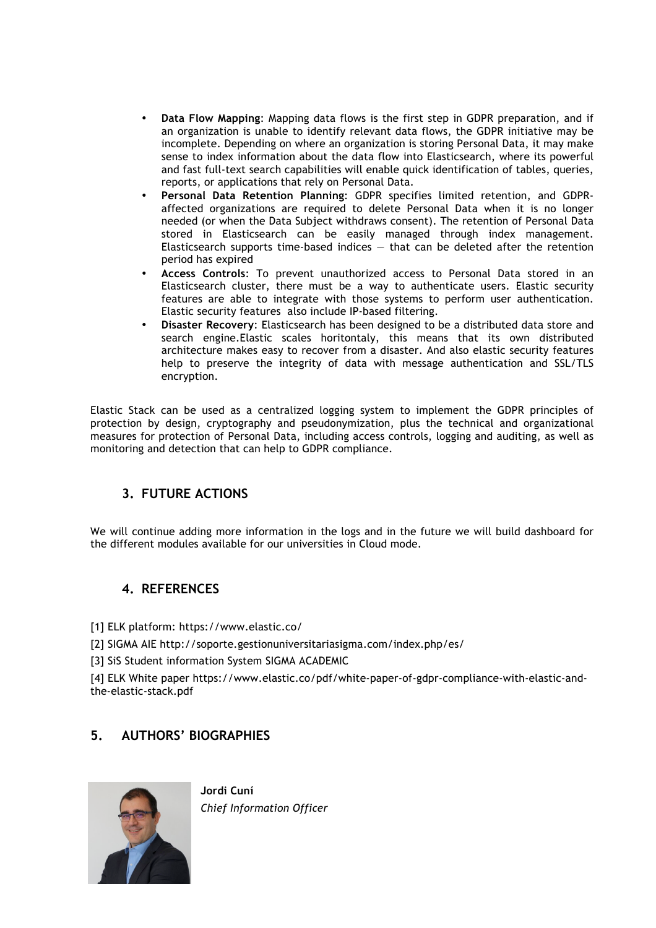- **Data Flow Mapping**: Mapping data flows is the first step in GDPR preparation, and if an organization is unable to identify relevant data flows, the GDPR initiative may be incomplete. Depending on where an organization is storing Personal Data, it may make sense to index information about the data flow into Elasticsearch, where its powerful and fast full-text search capabilities will enable quick identification of tables, queries, reports, or applications that rely on Personal Data.
- **Personal Data Retention Planning**: GDPR specifies limited retention, and GDPRaffected organizations are required to delete Personal Data when it is no longer needed (or when the Data Subject withdraws consent). The retention of Personal Data stored in Elasticsearch can be easily managed through index management. Elasticsearch supports time-based indices  $-$  that can be deleted after the retention period has expired
- **Access Controls**: To prevent unauthorized access to Personal Data stored in an Elasticsearch cluster, there must be a way to authenticate users. Elastic security features are able to integrate with those systems to perform user authentication. Elastic security features also include IP-based filtering.
- **Disaster Recovery**: Elasticsearch has been designed to be a distributed data store and search engine.Elastic scales horitontaly, this means that its own distributed architecture makes easy to recover from a disaster. And also elastic security features help to preserve the integrity of data with message authentication and SSL/TLS encryption.

Elastic Stack can be used as a centralized logging system to implement the GDPR principles of protection by design, cryptography and pseudonymization, plus the technical and organizational measures for protection of Personal Data, including access controls, logging and auditing, as well as monitoring and detection that can help to GDPR compliance.

## **3. FUTURE ACTIONS**

We will continue adding more information in the logs and in the future we will build dashboard for the different modules available for our universities in Cloud mode.

## **4. REFERENCES**

[1] ELK platform: https://www.elastic.co/

- [2] SIGMA AIE http://soporte.gestionuniversitariasigma.com/index.php/es/
- [3] SiS Student information System SIGMA ACADEMIC

[4] ELK White paper https://www.elastic.co/pdf/white-paper-of-gdpr-compliance-with-elastic-andthe-elastic-stack.pdf

## **5. AUTHORS' BIOGRAPHIES**



**Jordi Cuní** *Chief Information Officer*